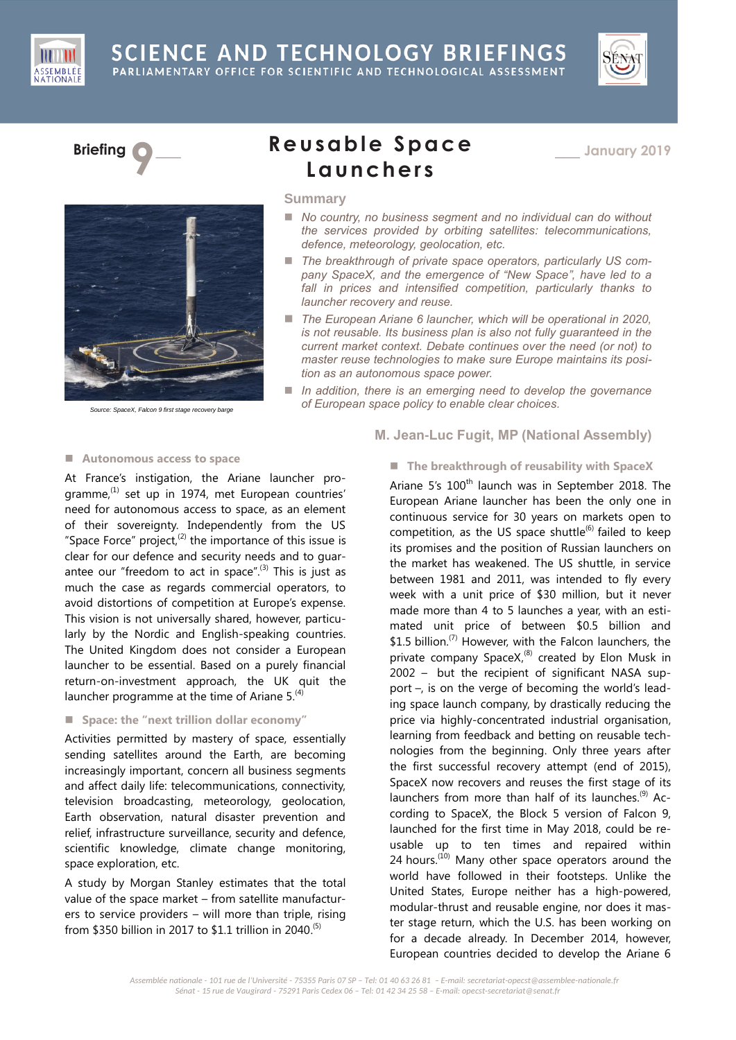



**Briefing** 



*Source: SpaceX, Falcon 9 first stage recovery barge*

## \_\_\_ **Re usable Spa ce La unche rs**

\_\_\_ **January 2019**

#### **Summary**

- *No country, no business segment and no individual can do without the services provided by orbiting satellites: telecommunications, defence, meteorology, geolocation, etc.*
- The breakthrough of private space operators, particularly US com*pany SpaceX, and the emergence of "New Space", have led to a fall in prices and intensified competition, particularly thanks to launcher recovery and reuse.*
- *The European Ariane 6 launcher, which will be operational in 2020, is not reusable. Its business plan is also not fully guaranteed in the current market context. Debate continues over the need (or not) to master reuse technologies to make sure Europe maintains its position as an autonomous space power.*
- *In addition, there is an emerging need to develop the governance of European space policy to enable clear choices.*

#### ■ Autonomous access to space

At France's instigation, the Ariane launcher programme,<sup>(1)</sup> set up in 1974, met European countries' need for autonomous access to space, as an element of their sovereignty. Independently from the US "Space Force" project, $^{(2)}$  the importance of this issue is clear for our defence and security needs and to guarantee our "freedom to act in space".<sup>(3)</sup> This is just as much the case as regards commercial operators, to avoid distortions of competition at Europe's expense. This vision is not universally shared, however, particularly by the Nordic and English-speaking countries. The United Kingdom does not consider a European launcher to be essential. Based on a purely financial return-on-investment approach, the UK quit the launcher programme at the time of Ariane 5. $(4)$ 

#### **Space: the "next trillion dollar economy"**

Activities permitted by mastery of space, essentially sending satellites around the Earth, are becoming increasingly important, concern all business segments and affect daily life: telecommunications, connectivity, television broadcasting, meteorology, geolocation, Earth observation, natural disaster prevention and relief, infrastructure surveillance, security and defence, scientific knowledge, climate change monitoring, space exploration, etc.

A study by Morgan Stanley estimates that the total value of the space market – from satellite manufacturers to service providers – will more than triple, rising from \$350 billion in 2017 to \$1.1 trillion in 2040.<sup>(5)</sup>

# **M. Jean-Luc Fugit, MP (National Assembly)**

## **The breakthrough of reusability with SpaceX**

Ariane 5's 100<sup>th</sup> launch was in September 2018. The European Ariane launcher has been the only one in continuous service for 30 years on markets open to competition, as the US space shuttle $^{(6)}$  failed to keep its promises and the position of Russian launchers on the market has weakened. The US shuttle, in service between 1981 and 2011, was intended to fly every week with a unit price of \$30 million, but it never made more than 4 to 5 launches a year, with an estimated unit price of between \$0.5 billion and \$1.5 billion. $\frac{7}{7}$  However, with the Falcon launchers, the private company SpaceX,<sup>(8)</sup> created by Elon Musk in 2002 – but the recipient of significant NASA support –, is on the verge of becoming the world's leading space launch company, by drastically reducing the price via highly-concentrated industrial organisation, learning from feedback and betting on reusable technologies from the beginning. Only three years after the first successful recovery attempt (end of 2015), SpaceX now recovers and reuses the first stage of its launchers from more than half of its launches.<sup>(9)</sup> According to SpaceX, the Block 5 version of Falcon 9, launched for the first time in May 2018, could be reusable up to ten times and repaired within 24 hours. $(10)$  Many other space operators around the world have followed in their footsteps. Unlike the United States, Europe neither has a high-powered, modular-thrust and reusable engine, nor does it master stage return, which the U.S. has been working on for a decade already. In December 2014, however, European countries decided to develop the Ariane 6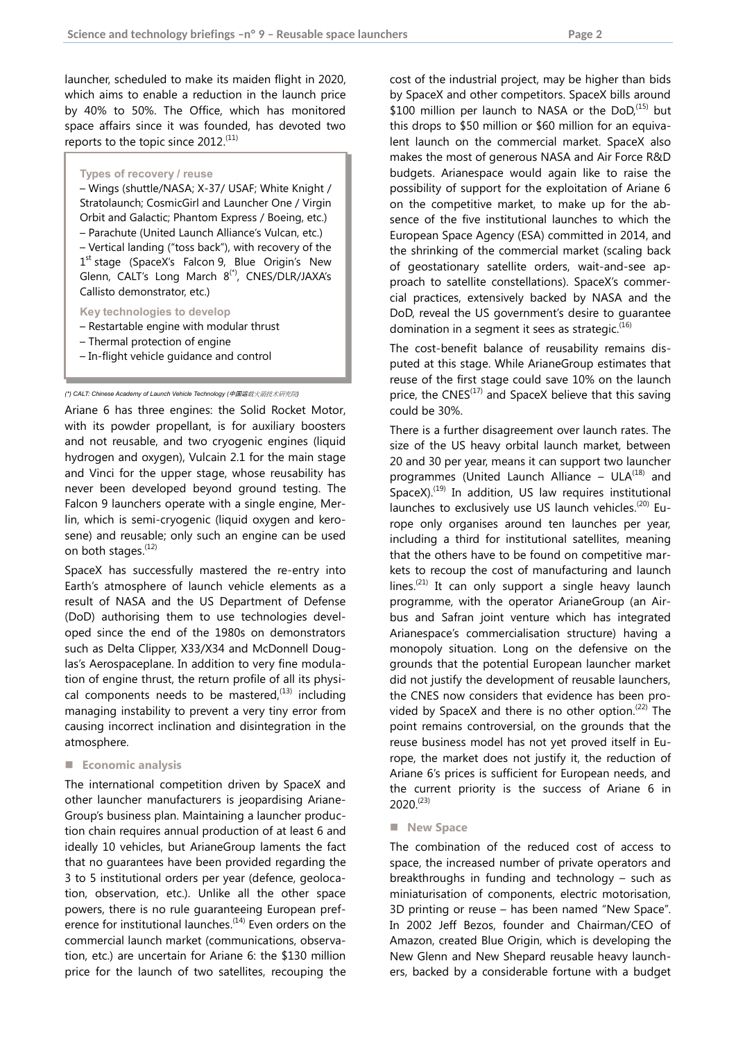launcher, scheduled to make its maiden flight in 2020, which aims to enable a reduction in the launch price by 40% to 50%. The Office, which has monitored space affairs since it was founded, has devoted two reports to the topic since  $2012$ .<sup> $(11)$ </sup>

**Types of recovery / reuse**

– Wings (shuttle/NASA; X-37/ USAF; White Knight / Stratolaunch; CosmicGirl and Launcher One / Virgin Orbit and Galactic; Phantom Express / Boeing, etc.) – Parachute (United Launch Alliance's Vulcan, etc.) – Vertical landing ("toss back"), with recovery of the 1<sup>st</sup> stage (SpaceX's Falcon 9, Blue Origin's New Glenn, CALT's Long March 8(\*), CNES/DLR/JAXA's Callisto demonstrator, etc.)

**Key technologies to develop**

- Restartable engine with modular thrust
- Thermal protection of engine
- In-flight vehicle guidance and control

*(\*) CALT: Chinese Academy of Launch Vehicle Technology (*中国运载火箭技术研究院*)*

Ariane 6 has three engines: the Solid Rocket Motor, with its powder propellant, is for auxiliary boosters and not reusable, and two cryogenic engines (liquid hydrogen and oxygen), Vulcain 2.1 for the main stage and Vinci for the upper stage, whose reusability has never been developed beyond ground testing. The Falcon 9 launchers operate with a single engine, Merlin, which is semi-cryogenic (liquid oxygen and kerosene) and reusable; only such an engine can be used on both stages.<sup>(12)</sup>

SpaceX has successfully mastered the re-entry into Earth's atmosphere of launch vehicle elements as a result of NASA and the US Department of Defense (DoD) authorising them to use technologies developed since the end of the 1980s on demonstrators such as Delta Clipper, X33/X34 and McDonnell Douglas's Aerospaceplane. In addition to very fine modulation of engine thrust, the return profile of all its physical components needs to be mastered,  $(13)$  including managing instability to prevent a very tiny error from causing incorrect inclination and disintegration in the atmosphere.

#### **Economic analysis**

The international competition driven by SpaceX and other launcher manufacturers is jeopardising Ariane-Group's business plan. Maintaining a launcher production chain requires annual production of at least 6 and ideally 10 vehicles, but ArianeGroup laments the fact that no guarantees have been provided regarding the 3 to 5 institutional orders per year (defence, geolocation, observation, etc.). Unlike all the other space powers, there is no rule guaranteeing European preference for institutional launches.<sup>(14)</sup> Even orders on the commercial launch market (communications, observation, etc.) are uncertain for Ariane 6: the \$130 million price for the launch of two satellites, recouping the

cost of the industrial project, may be higher than bids by SpaceX and other competitors. SpaceX bills around \$100 million per launch to NASA or the DoD, $^{(15)}$  but this drops to \$50 million or \$60 million for an equivalent launch on the commercial market. SpaceX also makes the most of generous NASA and Air Force R&D budgets. Arianespace would again like to raise the possibility of support for the exploitation of Ariane 6 on the competitive market, to make up for the absence of the five institutional launches to which the European Space Agency (ESA) committed in 2014, and the shrinking of the commercial market (scaling back of geostationary satellite orders, wait-and-see approach to satellite constellations). SpaceX's commercial practices, extensively backed by NASA and the DoD, reveal the US government's desire to guarantee domination in a segment it sees as strategic. $<sup>(16)</sup>$ </sup>

The cost-benefit balance of reusability remains disputed at this stage. While ArianeGroup estimates that reuse of the first stage could save 10% on the launch price, the CNES $(17)$  and SpaceX believe that this saving could be 30%.

There is a further disagreement over launch rates. The size of the US heavy orbital launch market, between 20 and 30 per year, means it can support two launcher programmes (United Launch Alliance  $-$  ULA $<sup>(18)</sup>$  and</sup> SpaceX).<sup>(19)</sup> In addition, US law requires institutional launches to exclusively use US launch vehicles.<sup>(20)</sup> Europe only organises around ten launches per year, including a third for institutional satellites, meaning that the others have to be found on competitive markets to recoup the cost of manufacturing and launch lines.<sup>(21)</sup> It can only support a single heavy launch programme, with the operator ArianeGroup (an Airbus and Safran joint venture which has integrated Arianespace's commercialisation structure) having a monopoly situation. Long on the defensive on the grounds that the potential European launcher market did not justify the development of reusable launchers, the CNES now considers that evidence has been provided by SpaceX and there is no other option.<sup> $(22)$ </sup> The point remains controversial, on the grounds that the reuse business model has not yet proved itself in Europe, the market does not justify it, the reduction of Ariane 6's prices is sufficient for European needs, and the current priority is the success of Ariane 6 in 2020. (23)

#### **New Space**

The combination of the reduced cost of access to space, the increased number of private operators and breakthroughs in funding and technology – such as miniaturisation of components, electric motorisation, 3D printing or reuse – has been named "New Space". In 2002 Jeff Bezos, founder and Chairman/CEO of Amazon, created Blue Origin, which is developing the New Glenn and New Shepard reusable heavy launchers, backed by a considerable fortune with a budget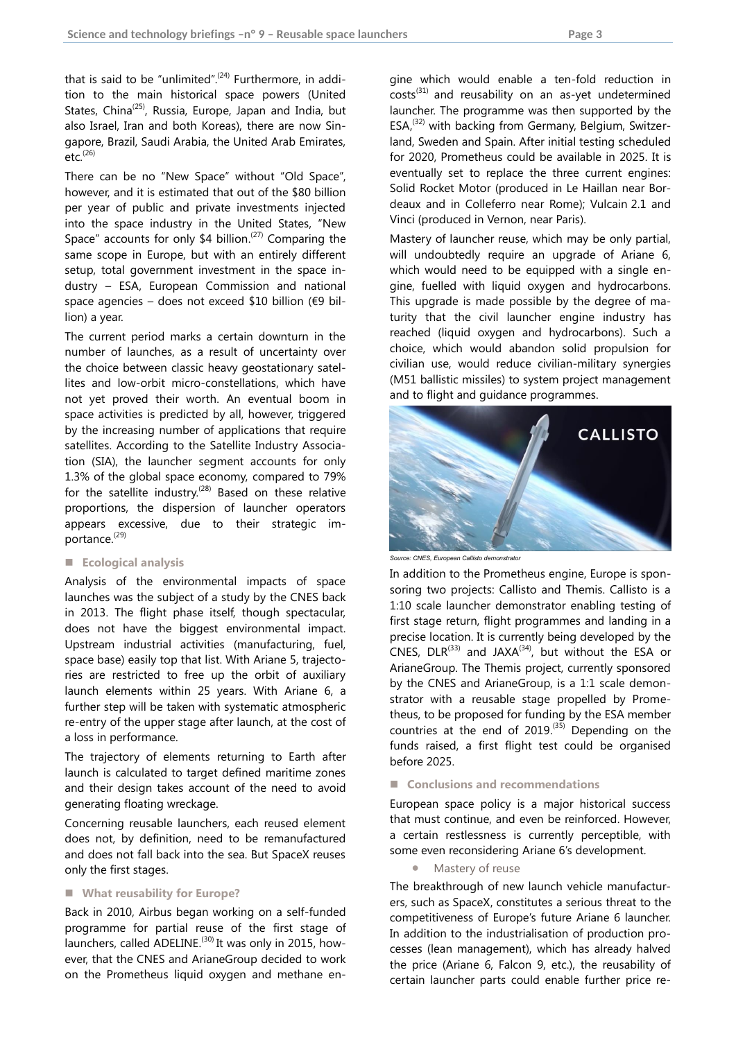that is said to be "unlimited".<sup>(24)</sup> Furthermore, in addition to the main historical space powers (United States, China<sup>(25)</sup>, Russia, Europe, Japan and India, but also Israel, Iran and both Koreas), there are now Singapore, Brazil, Saudi Arabia, the United Arab Emirates,  $etc.<sup>(26)</sup>$ 

There can be no "New Space" without "Old Space", however, and it is estimated that out of the \$80 billion per year of public and private investments injected into the space industry in the United States, "New Space" accounts for only \$4 billion.<sup>(27)</sup> Comparing the same scope in Europe, but with an entirely different setup, total government investment in the space industry – ESA, European Commission and national space agencies – does not exceed \$10 billion (€9 billion) a year.

The current period marks a certain downturn in the number of launches, as a result of uncertainty over the choice between classic heavy geostationary satellites and low-orbit micro-constellations, which have not yet proved their worth. An eventual boom in space activities is predicted by all, however, triggered by the increasing number of applications that require satellites. According to the Satellite Industry Association (SIA), the launcher segment accounts for only 1.3% of the global space economy, compared to 79% for the satellite industry.<sup>(28)</sup> Based on these relative proportions, the dispersion of launcher operators appears excessive, due to their strategic importance. (29)

#### **Ecological analysis**

Analysis of the environmental impacts of space launches was the subject of a study by the CNES back in 2013. The flight phase itself, though spectacular, does not have the biggest environmental impact. Upstream industrial activities (manufacturing, fuel, space base) easily top that list. With Ariane 5, trajectories are restricted to free up the orbit of auxiliary launch elements within 25 years. With Ariane 6, a further step will be taken with systematic atmospheric re-entry of the upper stage after launch, at the cost of a loss in performance.

The trajectory of elements returning to Earth after launch is calculated to target defined maritime zones and their design takes account of the need to avoid generating floating wreckage.

Concerning reusable launchers, each reused element does not, by definition, need to be remanufactured and does not fall back into the sea. But SpaceX reuses only the first stages.

#### **What reusability for Europe?**

Back in 2010, Airbus began working on a self-funded programme for partial reuse of the first stage of launchers, called ADELINE.<sup>(30)</sup> It was only in 2015, however, that the CNES and ArianeGroup decided to work on the Prometheus liquid oxygen and methane engine which would enable a ten-fold reduction in  $costs<sup>(31)</sup>$  and reusability on an as-yet undetermined launcher. The programme was then supported by the ESA,<sup>(32)</sup> with backing from Germany, Belgium, Switzerland, Sweden and Spain. After initial testing scheduled for 2020, Prometheus could be available in 2025. It is eventually set to replace the three current engines: Solid Rocket Motor (produced in Le Haillan near Bordeaux and in Colleferro near Rome); Vulcain 2.1 and Vinci (produced in Vernon, near Paris).

Mastery of launcher reuse, which may be only partial, will undoubtedly require an upgrade of Ariane 6, which would need to be equipped with a single engine, fuelled with liquid oxygen and hydrocarbons. This upgrade is made possible by the degree of maturity that the civil launcher engine industry has reached (liquid oxygen and hydrocarbons). Such a choice, which would abandon solid propulsion for civilian use, would reduce civilian-military synergies (M51 ballistic missiles) to system project management and to flight and guidance programmes.



Source: CNES, European Callisto demonstrator

In addition to the Prometheus engine, Europe is sponsoring two projects: Callisto and Themis. Callisto is a 1:10 scale launcher demonstrator enabling testing of first stage return, flight programmes and landing in a precise location. It is currently being developed by the CNES, DLR $^{(33)}$  and JAXA $^{(34)}$ , but without the ESA or ArianeGroup. The Themis project, currently sponsored by the CNES and ArianeGroup, is a 1:1 scale demonstrator with a reusable stage propelled by Prometheus, to be proposed for funding by the ESA member countries at the end of  $2019$ .<sup>(35)</sup> Depending on the funds raised, a first flight test could be organised before 2025.

#### ■ Conclusions and recommendations

European space policy is a major historical success that must continue, and even be reinforced. However, a certain restlessness is currently perceptible, with some even reconsidering Ariane 6's development.

#### **Mastery of reuse**

The breakthrough of new launch vehicle manufacturers, such as SpaceX, constitutes a serious threat to the competitiveness of Europe's future Ariane 6 launcher. In addition to the industrialisation of production processes (lean management), which has already halved the price (Ariane 6, Falcon 9, etc.), the reusability of certain launcher parts could enable further price re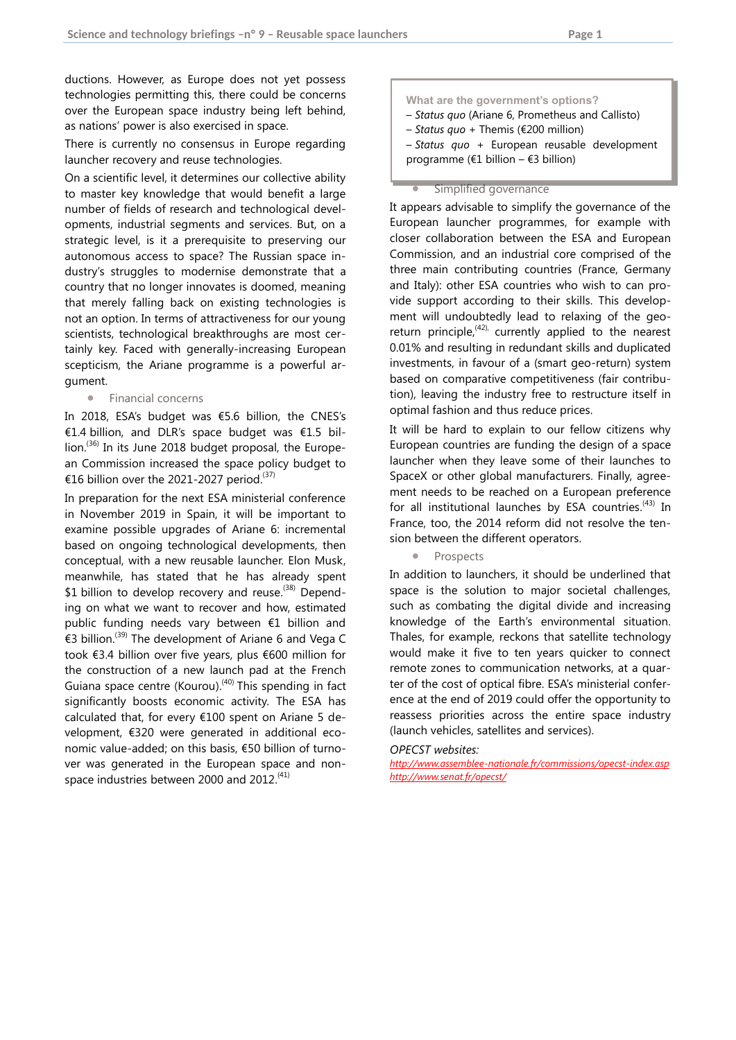ductions. However, as Europe does not yet possess technologies permitting this, there could be concerns over the European space industry being left behind, as nations' power is also exercised in space.

There is currently no consensus in Europe regarding launcher recovery and reuse technologies.

On a scientific level, it determines our collective ability to master key knowledge that would benefit a large number of fields of research and technological developments, industrial segments and services. But, on a strategic level, is it a prerequisite to preserving our autonomous access to space? The Russian space industry's struggles to modernise demonstrate that a country that no longer innovates is doomed, meaning that merely falling back on existing technologies is not an option. In terms of attractiveness for our young scientists, technological breakthroughs are most certainly key. Faced with generally-increasing European scepticism, the Ariane programme is a powerful argument.

• Financial concerns

In 2018, ESA's budget was €5.6 billion, the CNES's €1.4 billion, and DLR's space budget was €1.5 billion.<sup>(36)</sup> In its June 2018 budget proposal, the European Commission increased the space policy budget to €16 billion over the 2021-2027 period.<sup>(37)</sup>

In preparation for the next ESA ministerial conference in November 2019 in Spain, it will be important to examine possible upgrades of Ariane 6: incremental based on ongoing technological developments, then conceptual, with a new reusable launcher. Elon Musk, meanwhile, has stated that he has already spent \$1 billion to develop recovery and reuse.<sup>(38)</sup> Depending on what we want to recover and how, estimated public funding needs vary between €1 billion and €3 billion.<sup>(39)</sup> The development of Ariane 6 and Vega C took €3.4 billion over five years, plus €600 million for the construction of a new launch pad at the French Guiana space centre (Kourou).<sup>(40)</sup> This spending in fact significantly boosts economic activity. The ESA has calculated that, for every €100 spent on Ariane 5 development, €320 were generated in additional economic value-added; on this basis, €50 billion of turnover was generated in the European space and nonspace industries between 2000 and 2012.<sup>(41)</sup>

## **What are the government's options?** – *Status quo* (Ariane 6, Prometheus and Callisto) – *Status quo* + Themis (€200 million)

– *Status quo* + European reusable development programme ( $E1$  billion –  $E3$  billion)

### Simplified governance

It appears advisable to simplify the governance of the European launcher programmes, for example with closer collaboration between the ESA and European Commission, and an industrial core comprised of the three main contributing countries (France, Germany and Italy): other ESA countries who wish to can provide support according to their skills. This development will undoubtedly lead to relaxing of the georeturn principle,  $A^{(42)}$ , currently applied to the nearest 0.01% and resulting in redundant skills and duplicated investments, in favour of a (smart geo-return) system based on comparative competitiveness (fair contribution), leaving the industry free to restructure itself in optimal fashion and thus reduce prices.

It will be hard to explain to our fellow citizens why European countries are funding the design of a space launcher when they leave some of their launches to SpaceX or other global manufacturers. Finally, agreement needs to be reached on a European preference for all institutional launches by ESA countries.<sup>(43)</sup> In France, too, the 2014 reform did not resolve the tension between the different operators.

• Prospects

In addition to launchers, it should be underlined that space is the solution to major societal challenges, such as combating the digital divide and increasing knowledge of the Earth's environmental situation. Thales, for example, reckons that satellite technology would make it five to ten years quicker to connect remote zones to communication networks, at a quarter of the cost of optical fibre. ESA's ministerial conference at the end of 2019 could offer the opportunity to reassess priorities across the entire space industry (launch vehicles, satellites and services).

#### *OPECST websites:*

*<http://www.assemblee-nationale.fr/commissions/opecst-index.asp> <http://www.senat.fr/opecst/>*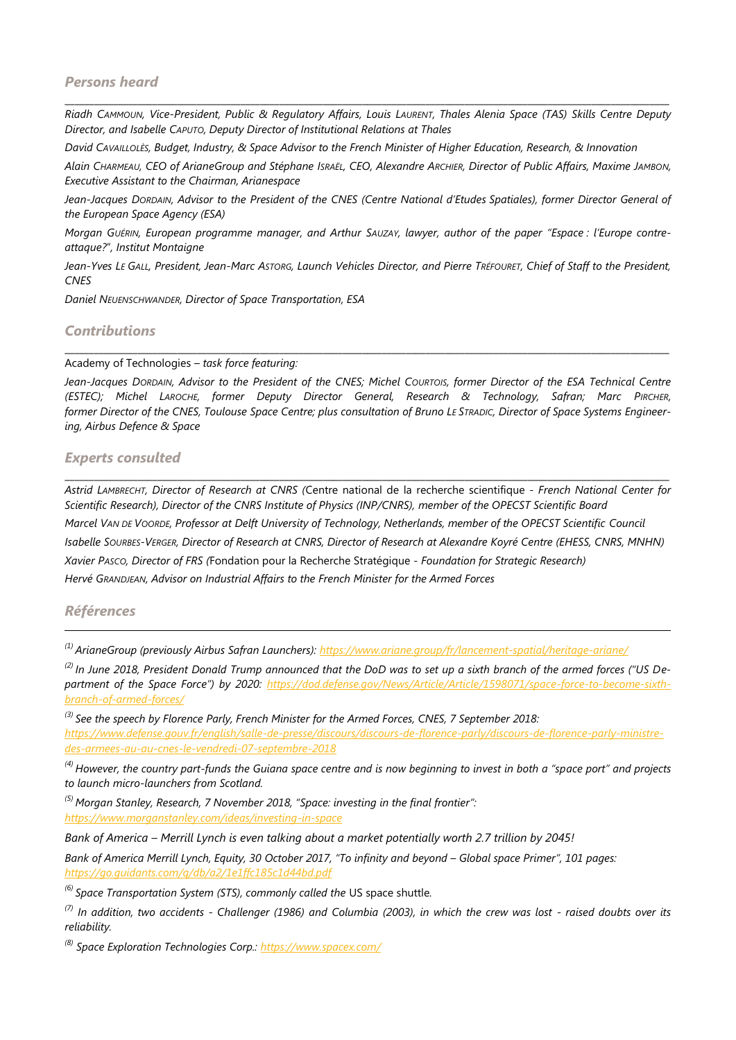\_\_\_\_\_\_\_\_\_\_\_\_\_\_\_\_\_\_\_\_\_\_\_\_\_\_\_\_\_\_\_\_\_\_\_\_\_\_\_\_\_\_\_\_\_\_\_\_\_\_\_\_\_\_\_\_\_\_\_\_\_\_\_\_\_\_\_\_\_\_\_\_\_\_\_\_\_\_\_\_\_\_\_\_\_\_\_\_\_\_\_\_\_\_\_\_\_\_\_\_\_\_\_\_\_\_\_\_\_\_\_\_\_\_\_\_\_\_\_\_\_\_\_\_ *Riadh CAMMOUN, Vice-President, Public & Regulatory Affairs, Louis LAURENT, Thales Alenia Space (TAS) Skills Centre Deputy Director, and Isabelle CAPUTO, Deputy Director of Institutional Relations at Thales*

*David CAVAILLOLÈS, Budget, Industry, & Space Advisor to the French Minister of Higher Education, Research, & Innovation*

*Alain CHARMEAU, CEO of ArianeGroup and Stéphane ISRAËL, CEO, Alexandre ARCHIER, Director of Public Affairs, Maxime JAMBON, Executive Assistant to the Chairman, Arianespace*

*Jean-Jacques DORDAIN, Advisor to the President of the CNES (Centre National d'Etudes Spatiales), former Director General of the European Space Agency (ESA)*

*Morgan GUÉRIN, European programme manager, and Arthur SAUZAY, lawyer, author of the paper "Espace : l'Europe contreattaque?*"*, Institut Montaigne*

*Jean-Yves LE GALL, President, Jean-Marc ASTORG, Launch Vehicles Director, and Pierre TRÉFOURET, Chief of Staff to the President, CNES*

*Daniel NEUENSCHWANDER, Director of Space Transportation, ESA*

## *Contributions*

Academy of Technologies *– task force featuring:*

*Jean-Jacques DORDAIN, Advisor to the President of the CNES; Michel COURTOIS, former Director of the ESA Technical Centre (ESTEC); Michel LAROCHE, former Deputy Director General, Research & Technology, Safran; Marc PIRCHER, former Director of the CNES, Toulouse Space Centre; plus consultation of Bruno LE STRADIC, Director of Space Systems Engineering, Airbus Defence & Space*

\_\_\_\_\_\_\_\_\_\_\_\_\_\_\_\_\_\_\_\_\_\_\_\_\_\_\_\_\_\_\_\_\_\_\_\_\_\_\_\_\_\_\_\_\_\_\_\_\_\_\_\_\_\_\_\_\_\_\_\_\_\_\_\_\_\_\_\_\_\_\_\_\_\_\_\_\_\_\_\_\_\_\_\_\_\_\_\_\_\_\_\_\_\_\_\_\_\_\_\_\_\_\_\_\_\_\_\_\_\_\_\_\_\_\_\_\_\_\_\_\_\_\_\_

## *Experts consulted*

*Astrid LAMBRECHT, Director of Research at CNRS (*Centre national de la recherche scientifique *- French National Center for Scientific Research), Director of the CNRS Institute of Physics (INP/CNRS), member of the OPECST Scientific Board Marcel VAN DE VOORDE, Professor at Delft University of Technology, Netherlands, member of the OPECST Scientific Council Isabelle SOURBES-VERGER, Director of Research at CNRS, Director of Research at Alexandre Koyré Centre (EHESS, CNRS, MNHN) Xavier PASCO, Director of FRS (*Fondation pour la Recherche Stratégique *- Foundation for Strategic Research) Hervé GRANDJEAN, Advisor on Industrial Affairs to the French Minister for the Armed Forces*

\_\_\_\_\_\_\_\_\_\_\_\_\_\_\_\_\_\_\_\_\_\_\_\_\_\_\_\_\_\_\_\_\_\_\_\_\_\_\_\_\_\_\_\_\_\_\_\_\_\_\_\_\_\_\_\_\_\_\_\_\_\_\_\_\_\_\_\_\_\_\_\_\_\_\_\_\_\_\_\_\_\_\_\_\_\_\_\_\_\_\_\_\_\_\_\_\_\_\_\_\_\_\_\_\_\_\_\_\_\_\_\_\_\_\_\_\_\_\_\_\_\_\_\_

## *Références*

 $\overline{a}$ 

*(1) ArianeGroup (previously Airbus Safran Launchers)[: https://www.ariane.group/fr/lancement-spatial/heritage-ariane/](https://www.ariane.group/fr/lancement-spatial/heritage-ariane/)*

*(2) In June 2018, President Donald Trump announced that the DoD was to set up a sixth branch of the armed forces ("US Department of the Space Force") by 2020: [https://dod.defense.gov/News/Article/Article/1598071/space-force-to-become-sixth](https://dod.defense.gov/News/Article/Article/1598071/space-force-to-become-sixth-branch-of-armed-forces/)[branch-of-armed-forces/](https://dod.defense.gov/News/Article/Article/1598071/space-force-to-become-sixth-branch-of-armed-forces/)* 

*(3) See the speech by Florence Parly, French Minister for the Armed Forces, CNES, 7 September 2018: [https://www.defense.gouv.fr/english/salle-de-presse/discours/discours-de-florence-parly/discours-de-florence-parly-ministre](https://www.defense.gouv.fr/english/salle-de-presse/discours/discours-de-florence-parly/discours-de-florence-parly-ministre-des-armees-au-au-cnes-le-vendredi-07-septembre-2018)[des-armees-au-au-cnes-le-vendredi-07-septembre-2018](https://www.defense.gouv.fr/english/salle-de-presse/discours/discours-de-florence-parly/discours-de-florence-parly-ministre-des-armees-au-au-cnes-le-vendredi-07-septembre-2018)*

*(4) However, the country part-funds the Guiana space centre and is now beginning to invest in both a "space port" and projects to launch micro-launchers from Scotland.*

*(5) Morgan Stanley, Research, 7 November 2018, "Space: investing in the final frontier": <https://www.morganstanley.com/ideas/investing-in-space>*

*Bank of America – Merrill Lynch is even talking about a market potentially worth 2.7 trillion by 2045!*

*Bank of America Merrill Lynch, Equity, 30 October 2017, "To infinity and beyond – Global space Primer", 101 pages: <https://go.guidants.com/q/db/a2/1e1ffc185c1d44bd.pdf>*

<sup>(6)</sup> Space Transportation System (STS), commonly called the US space shuttle.

*(7) In addition, two accidents - Challenger (1986) and Columbia (2003), in which the crew was lost - raised doubts over its reliability.* 

*(8) Space Exploration Technologies Corp.:<https://www.spacex.com/>*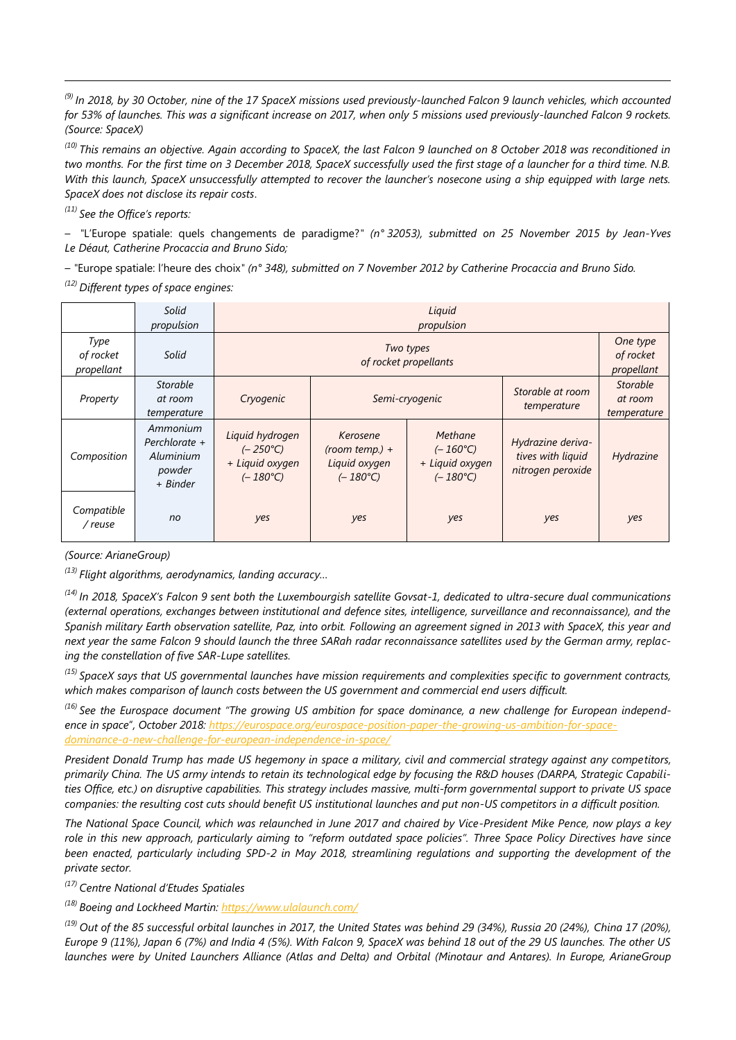*(9) In 2018, by 30 October, nine of the 17 SpaceX missions used previously-launched Falcon 9 launch vehicles, which accounted for 53% of launches. This was a significant increase on 2017, when only 5 missions used previously-launched Falcon 9 rockets. (Source: SpaceX)*

*(10) This remains an objective. Again according to SpaceX, the last Falcon 9 launched on 8 October 2018 was reconditioned in two months. For the first time on 3 December 2018, SpaceX successfully used the first stage of a launcher for a third time. N.B. With this launch, SpaceX unsuccessfully attempted to recover the launcher's nosecone using a ship equipped with large nets. SpaceX does not disclose its repair costs*.

*(11) See the Office's reports:*

-

*– "*L'Europe spatiale: quels changements de paradigme?*" (n° 32053), submitted on 25 November 2015 by Jean-Yves Le Déaut, Catherine Procaccia and Bruno Sido;*

*– "*Europe spatiale: l'heure des choix*" (n° 348), submitted on 7 November 2012 by Catherine Procaccia and Bruno Sido. (12) Different types of space engines:*

|                                 | Solid<br>propulsion                                          | Liquid<br>propulsion                                                         |                                                                    |                                                                             |                                                             |                                           |  |  |  |
|---------------------------------|--------------------------------------------------------------|------------------------------------------------------------------------------|--------------------------------------------------------------------|-----------------------------------------------------------------------------|-------------------------------------------------------------|-------------------------------------------|--|--|--|
| Type<br>of rocket<br>propellant | Solid                                                        |                                                                              | One type<br>of rocket<br>propellant                                |                                                                             |                                                             |                                           |  |  |  |
| Property                        | <b>Storable</b><br>at room<br>temperature                    | Cryogenic                                                                    | Semi-cryogenic                                                     |                                                                             | Storable at room<br>temperature                             | <b>Storable</b><br>at room<br>temperature |  |  |  |
| Composition                     | Ammonium<br>Perchlorate +<br>Aluminium<br>powder<br>+ Binder | Liquid hydrogen<br>$(-250^{\circ}C)$<br>+ Liquid oxygen<br>$(-180^{\circ}C)$ | Kerosene<br>$(room temp.) +$<br>Liquid oxygen<br>$(-180^{\circ}C)$ | <b>Methane</b><br>$(-160^{\circ}C)$<br>+ Liquid oxygen<br>$(-180^{\circ}C)$ | Hydrazine deriva-<br>tives with liquid<br>nitrogen peroxide | Hydrazine                                 |  |  |  |
| Compatible<br>/reuse            | no                                                           | yes                                                                          | yes                                                                | yes                                                                         | yes                                                         | yes                                       |  |  |  |

*(Source: ArianeGroup)*

*(13) Flight algorithms, aerodynamics, landing accuracy…*

*(14) In 2018, SpaceX's Falcon 9 sent both the Luxembourgish satellite Govsat-1, dedicated to ultra-secure dual communications (external operations, exchanges between institutional and defence sites, intelligence, surveillance and reconnaissance), and the Spanish military Earth observation satellite, Paz, into orbit. Following an agreement signed in 2013 with SpaceX, this year and next year the same Falcon 9 should launch the three SARah radar reconnaissance satellites used by the German army, replacing the constellation of five SAR-Lupe satellites.*

*(15) SpaceX says that US governmental launches have mission requirements and complexities specific to government contracts, which makes comparison of launch costs between the US government and commercial end users difficult.*

*(16) See the Eurospace document "The growing US ambition for space dominance, a new challenge for European independence in space*"*, October 2018: [https://eurospace.org/eurospace-position-paper-the-growing-us-ambition-for-space](https://eurospace.org/eurospace-position-paper-the-growing-us-ambition-for-space-dominance-a-new-challenge-for-european-independence-in-space/)[dominance-a-new-challenge-for-european-independence-in-space/](https://eurospace.org/eurospace-position-paper-the-growing-us-ambition-for-space-dominance-a-new-challenge-for-european-independence-in-space/)*

*President Donald Trump has made US hegemony in space a military, civil and commercial strategy against any competitors, primarily China. The US army intends to retain its technological edge by focusing the R&D houses (DARPA, Strategic Capabilities Office, etc.) on disruptive capabilities. This strategy includes massive, multi-form governmental support to private US space companies: the resulting cost cuts should benefit US institutional launches and put non-US competitors in a difficult position.* 

*The National Space Council, which was relaunched in June 2017 and chaired by Vice-President Mike Pence, now plays a key role in this new approach, particularly aiming to "reform outdated space policies". Three Space Policy Directives have since been enacted, particularly including SPD-2 in May 2018, streamlining regulations and supporting the development of the private sector.*

*(17) Centre National d'Etudes Spatiales*

*(18) Boeing and Lockheed Martin:<https://www.ulalaunch.com/>*

*(19) Out of the 85 successful orbital launches in 2017, the United States was behind 29 (34%), Russia 20 (24%), China 17 (20%), Europe 9 (11%), Japan 6 (7%) and India 4 (5%). With Falcon 9, SpaceX was behind 18 out of the 29 US launches. The other US launches were by United Launchers Alliance (Atlas and Delta) and Orbital (Minotaur and Antares). In Europe, ArianeGroup*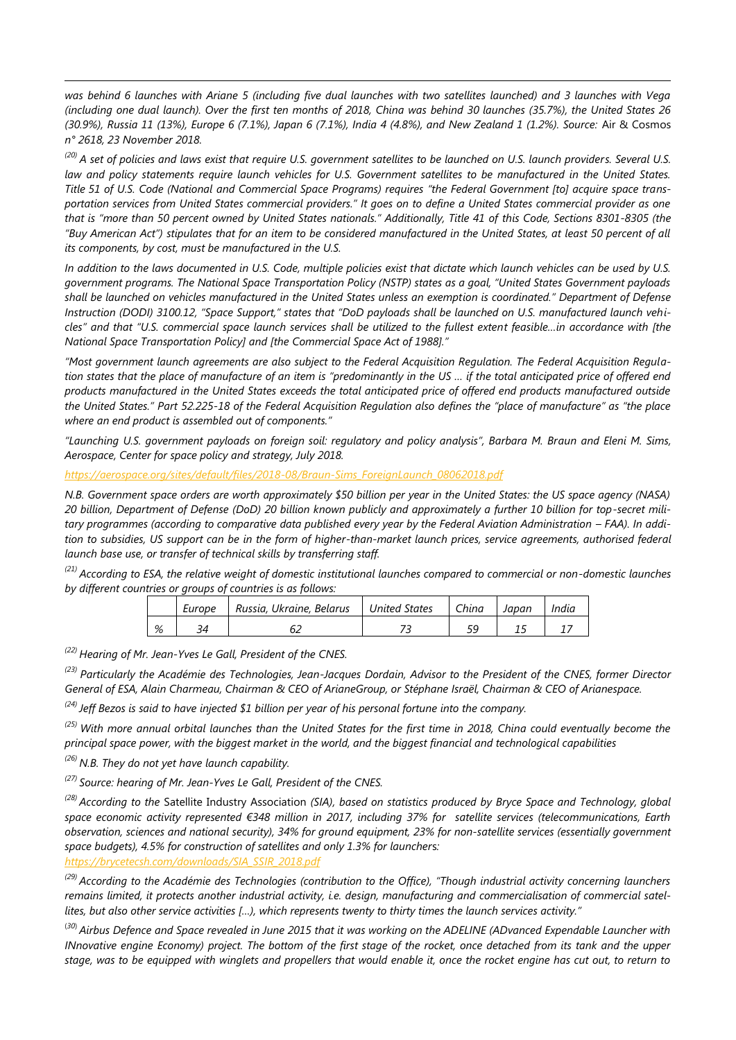*was behind 6 launches with Ariane 5 (including five dual launches with two satellites launched) and 3 launches with Vega (including one dual launch). Over the first ten months of 2018, China was behind 30 launches (35.7%), the United States 26 (30.9%), Russia 11 (13%), Europe 6 (7.1%), Japan 6 (7.1%), India 4 (4.8%), and New Zealand 1 (1.2%). Source:* Air & Cosmos *n° 2618, 23 November 2018.* 

*(20) A set of policies and laws exist that require U.S. government satellites to be launched on U.S. launch providers. Several U.S.*  law and policy statements require launch vehicles for U.S. Government satellites to be manufactured in the United States. *Title 51 of U.S. Code (National and Commercial Space Programs) requires "the Federal Government [to] acquire space transportation services from United States commercial providers." It goes on to define a United States commercial provider as one that is "more than 50 percent owned by United States nationals." Additionally, Title 41 of this Code, Sections 8301-8305 (the "Buy American Act") stipulates that for an item to be considered manufactured in the United States, at least 50 percent of all its components, by cost, must be manufactured in the U.S.*

*In addition to the laws documented in U.S. Code, multiple policies exist that dictate which launch vehicles can be used by U.S. government programs. The National Space Transportation Policy (NSTP) states as a goal, "United States Government payloads shall be launched on vehicles manufactured in the United States unless an exemption is coordinated." Department of Defense Instruction (DODI) 3100.12, "Space Support," states that "DoD payloads shall be launched on U.S. manufactured launch vehicles" and that "U.S. commercial space launch services shall be utilized to the fullest extent feasible…in accordance with [the National Space Transportation Policy] and [the Commercial Space Act of 1988]."*

*"Most government launch agreements are also subject to the Federal Acquisition Regulation. The Federal Acquisition Regulation states that the place of manufacture of an item is "predominantly in the US … if the total anticipated price of offered end products manufactured in the United States exceeds the total anticipated price of offered end products manufactured outside the United States." Part 52.225-18 of the Federal Acquisition Regulation also defines the "place of manufacture" as "the place where an end product is assembled out of components."*

*"Launching U.S. government payloads on foreign soil: regulatory and policy analysis", Barbara M. Braun and Eleni M. Sims, Aerospace, Center for space policy and strategy, July 2018.* 

*[https://aerospace.org/sites/default/files/2018-08/Braun-Sims\\_ForeignLaunch\\_08062018.pdf](https://aerospace.org/sites/default/files/2018-08/Braun-Sims_ForeignLaunch_08062018.pdf)*

*N.B. Government space orders are worth approximately \$50 billion per year in the United States: the US space agency (NASA) 20 billion, Department of Defense (DoD) 20 billion known publicly and approximately a further 10 billion for top-secret military programmes (according to comparative data published every year by the Federal Aviation Administration – FAA). In addition to subsidies, US support can be in the form of higher-than-market launch prices, service agreements, authorised federal launch base use, or transfer of technical skills by transferring staff.*

*(21) According to ESA, the relative weight of domestic institutional launches compared to commercial or non-domestic launches by different countries or groups of countries is as follows:*

|   | Europe | Russia, Ukraine, Belarus | <b>United States</b> | China | Japan | India |
|---|--------|--------------------------|----------------------|-------|-------|-------|
| % |        |                          |                      |       |       |       |

*(22) Hearing of Mr. Jean-Yves Le Gall, President of the CNES.*

*(23) Particularly the Académie des Technologies, Jean-Jacques Dordain, Advisor to the President of the CNES, former Director General of ESA, Alain Charmeau, Chairman & CEO of ArianeGroup, or Stéphane Israël, Chairman & CEO of Arianespace.* 

*(24) Jeff Bezos is said to have injected \$1 billion per year of his personal fortune into the company.*

*(25) With more annual orbital launches than the United States for the first time in 2018, China could eventually become the principal space power, with the biggest market in the world, and the biggest financial and technological capabilities*

*(26) N.B. They do not yet have launch capability.*

-

*(27) Source: hearing of Mr. Jean-Yves Le Gall, President of the CNES.*

*(28) According to the* Satellite Industry Association *(SIA), based on statistics produced by Bryce Space and Technology, global space economic activity represented €348 million in 2017, including 37% for satellite services (telecommunications, Earth observation, sciences and national security), 34% for ground equipment, 23% for non-satellite services (essentially government space budgets), 4.5% for construction of satellites and only 1.3% for launcher*s*:*

*[https://brycetecsh.com/downloads/SIA\\_SSIR\\_2018.pdf](https://brycetech.com/downloads/SIA_SSIR_2018.pdf)*

*(29) According to the Académie des Technologies (contribution to the Office), "Though industrial activity concerning launchers remains limited, it protects another industrial activity, i.e. design, manufacturing and commercialisation of commercial satellites, but also other service activities […), which represents twenty to thirty times the launch services activity."*

(*30*) *Airbus Defence and Space revealed in June 2015 that it was working on the ADELINE (ADvanced Expendable Launcher with INnovative engine Economy) project. The bottom of the first stage of the rocket, once detached from its tank and the upper stage, was to be equipped with winglets and propellers that would enable it, once the rocket engine has cut out, to return to*